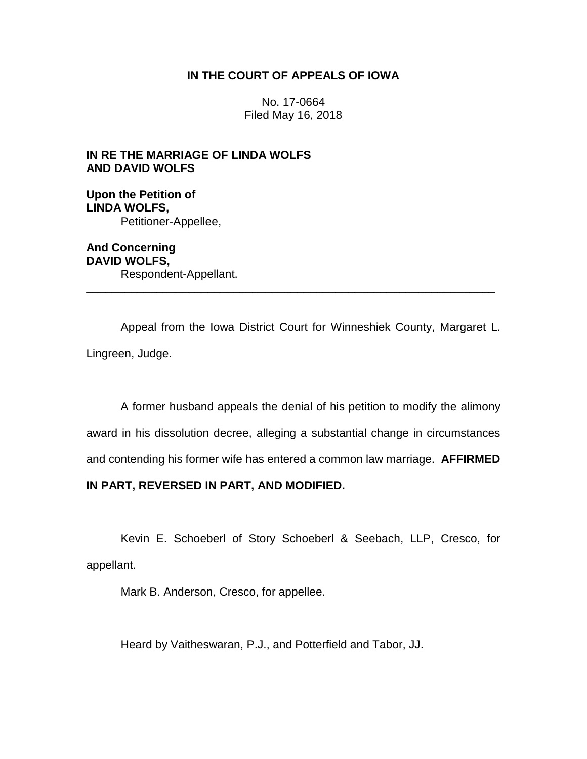# **IN THE COURT OF APPEALS OF IOWA**

No. 17-0664 Filed May 16, 2018

# **IN RE THE MARRIAGE OF LINDA WOLFS AND DAVID WOLFS**

**Upon the Petition of LINDA WOLFS,** Petitioner-Appellee,

**And Concerning DAVID WOLFS,** Respondent-Appellant. \_\_\_\_\_\_\_\_\_\_\_\_\_\_\_\_\_\_\_\_\_\_\_\_\_\_\_\_\_\_\_\_\_\_\_\_\_\_\_\_\_\_\_\_\_\_\_\_\_\_\_\_\_\_\_\_\_\_\_\_\_\_\_\_

Appeal from the Iowa District Court for Winneshiek County, Margaret L. Lingreen, Judge.

A former husband appeals the denial of his petition to modify the alimony award in his dissolution decree, alleging a substantial change in circumstances and contending his former wife has entered a common law marriage. **AFFIRMED** 

## **IN PART, REVERSED IN PART, AND MODIFIED.**

Kevin E. Schoeberl of Story Schoeberl & Seebach, LLP, Cresco, for appellant.

Mark B. Anderson, Cresco, for appellee.

Heard by Vaitheswaran, P.J., and Potterfield and Tabor, JJ.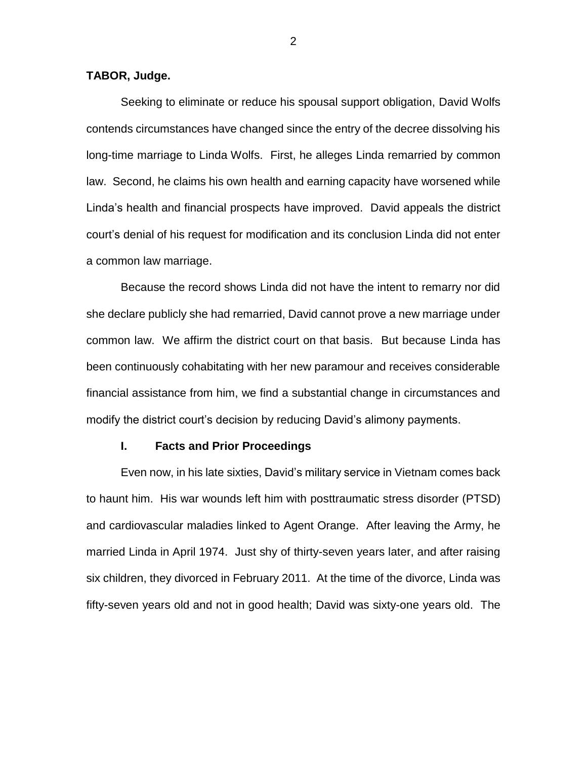#### **TABOR, Judge.**

Seeking to eliminate or reduce his spousal support obligation, David Wolfs contends circumstances have changed since the entry of the decree dissolving his long-time marriage to Linda Wolfs. First, he alleges Linda remarried by common law. Second, he claims his own health and earning capacity have worsened while Linda's health and financial prospects have improved. David appeals the district court's denial of his request for modification and its conclusion Linda did not enter a common law marriage.

Because the record shows Linda did not have the intent to remarry nor did she declare publicly she had remarried, David cannot prove a new marriage under common law. We affirm the district court on that basis. But because Linda has been continuously cohabitating with her new paramour and receives considerable financial assistance from him, we find a substantial change in circumstances and modify the district court's decision by reducing David's alimony payments.

#### **I. Facts and Prior Proceedings**

Even now, in his late sixties, David's military service in Vietnam comes back to haunt him. His war wounds left him with posttraumatic stress disorder (PTSD) and cardiovascular maladies linked to Agent Orange. After leaving the Army, he married Linda in April 1974. Just shy of thirty-seven years later, and after raising six children, they divorced in February 2011. At the time of the divorce, Linda was fifty-seven years old and not in good health; David was sixty-one years old. The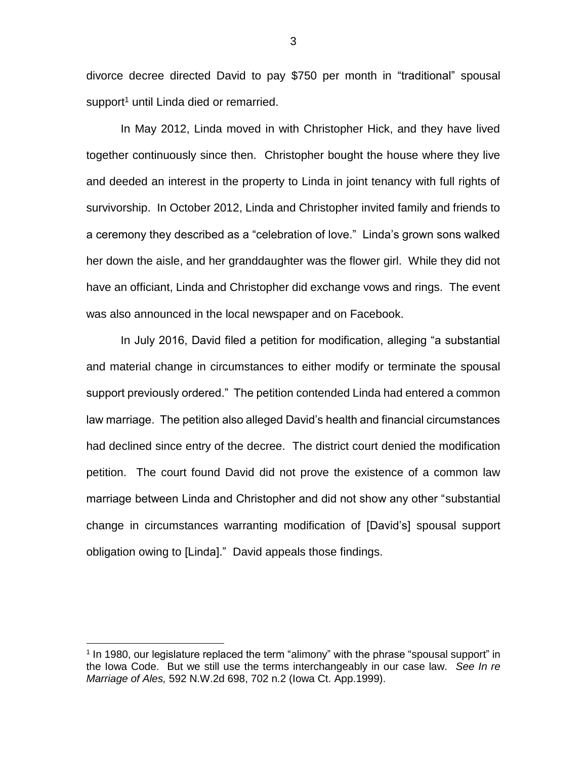divorce decree directed David to pay \$750 per month in "traditional" spousal support<sup>1</sup> until Linda died or remarried.

In May 2012, Linda moved in with Christopher Hick, and they have lived together continuously since then. Christopher bought the house where they live and deeded an interest in the property to Linda in joint tenancy with full rights of survivorship. In October 2012, Linda and Christopher invited family and friends to a ceremony they described as a "celebration of love." Linda's grown sons walked her down the aisle, and her granddaughter was the flower girl. While they did not have an officiant, Linda and Christopher did exchange vows and rings. The event was also announced in the local newspaper and on Facebook.

In July 2016, David filed a petition for modification, alleging "a substantial and material change in circumstances to either modify or terminate the spousal support previously ordered." The petition contended Linda had entered a common law marriage. The petition also alleged David's health and financial circumstances had declined since entry of the decree. The district court denied the modification petition. The court found David did not prove the existence of a common law marriage between Linda and Christopher and did not show any other "substantial change in circumstances warranting modification of [David's] spousal support obligation owing to [Linda]." David appeals those findings.

<sup>&</sup>lt;sup>1</sup> In 1980, our legislature replaced the term "alimony" with the phrase "spousal support" in the Iowa Code. But we still use the terms interchangeably in our case law. *See In re Marriage of Ales,* 592 N.W.2d 698, 702 n.2 (Iowa Ct. App.1999).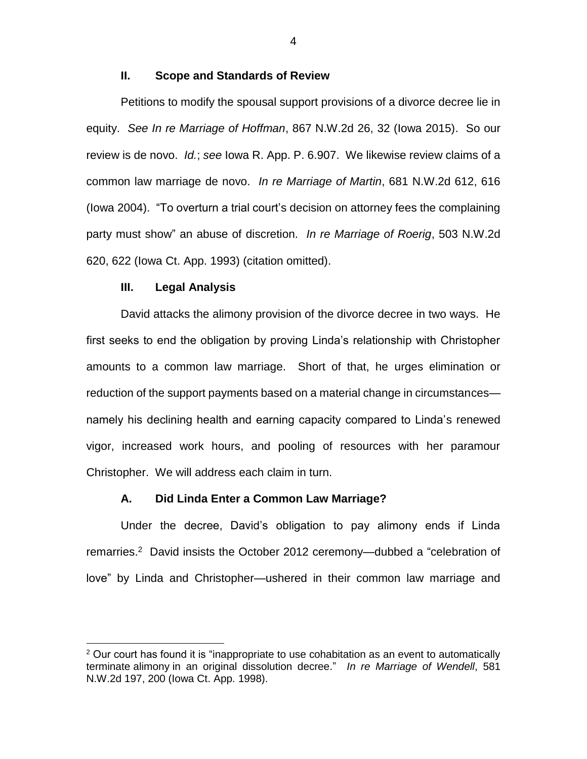### **II. Scope and Standards of Review**

Petitions to modify the spousal support provisions of a divorce decree lie in equity. *See In re Marriage of Hoffman*, 867 N.W.2d 26, 32 (Iowa 2015). So our review is de novo. *Id.*; *see* Iowa R. App. P. 6.907. We likewise review claims of a common law marriage de novo. *In re Marriage of Martin*, 681 N.W.2d 612, 616 (Iowa 2004). "To overturn a trial court's decision on attorney fees the complaining party must show" an abuse of discretion. *In re Marriage of Roerig*, 503 N.W.2d 620, 622 (Iowa Ct. App. 1993) (citation omitted).

#### **III. Legal Analysis**

 $\overline{a}$ 

David attacks the alimony provision of the divorce decree in two ways. He first seeks to end the obligation by proving Linda's relationship with Christopher amounts to a common law marriage. Short of that, he urges elimination or reduction of the support payments based on a material change in circumstances namely his declining health and earning capacity compared to Linda's renewed vigor, increased work hours, and pooling of resources with her paramour Christopher. We will address each claim in turn.

### **A. Did Linda Enter a Common Law Marriage?**

Under the decree, David's obligation to pay alimony ends if Linda remarries.<sup>2</sup> David insists the October 2012 ceremony—dubbed a "celebration of love" by Linda and Christopher—ushered in their common law marriage and

 $2$  Our court has found it is "inappropriate to use cohabitation as an event to automatically terminate alimony in an original dissolution decree." *In re Marriage of Wendell*, 581 N.W.2d 197, 200 (Iowa Ct. App. 1998).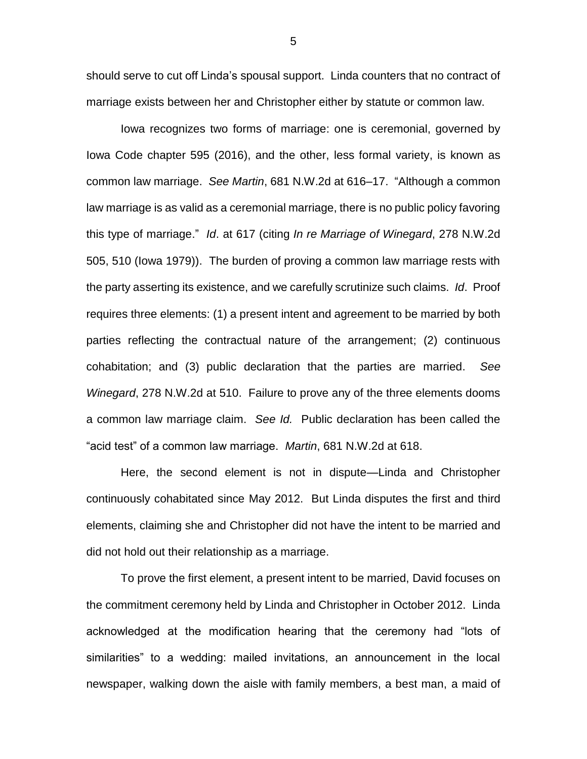should serve to cut off Linda's spousal support. Linda counters that no contract of marriage exists between her and Christopher either by statute or common law.

Iowa recognizes two forms of marriage: one is ceremonial, governed by Iowa Code chapter 595 (2016), and the other, less formal variety, is known as common law marriage. *See Martin*, 681 N.W.2d at 616–17. "Although a common law marriage is as valid as a ceremonial marriage, there is no public policy favoring this type of marriage." *Id*. at 617 (citing *In re Marriage of Winegard*, 278 N.W.2d 505, 510 (Iowa 1979)). The burden of proving a common law marriage rests with the party asserting its existence, and we carefully scrutinize such claims. *Id*. Proof requires three elements: (1) a present intent and agreement to be married by both parties reflecting the contractual nature of the arrangement; (2) continuous cohabitation; and (3) public declaration that the parties are married. *See Winegard*, 278 N.W.2d at 510. Failure to prove any of the three elements dooms a common law marriage claim. *See Id.* Public declaration has been called the "acid test" of a common law marriage. *Martin*, 681 N.W.2d at 618.

Here, the second element is not in dispute—Linda and Christopher continuously cohabitated since May 2012. But Linda disputes the first and third elements, claiming she and Christopher did not have the intent to be married and did not hold out their relationship as a marriage.

To prove the first element, a present intent to be married, David focuses on the commitment ceremony held by Linda and Christopher in October 2012. Linda acknowledged at the modification hearing that the ceremony had "lots of similarities" to a wedding: mailed invitations, an announcement in the local newspaper, walking down the aisle with family members, a best man, a maid of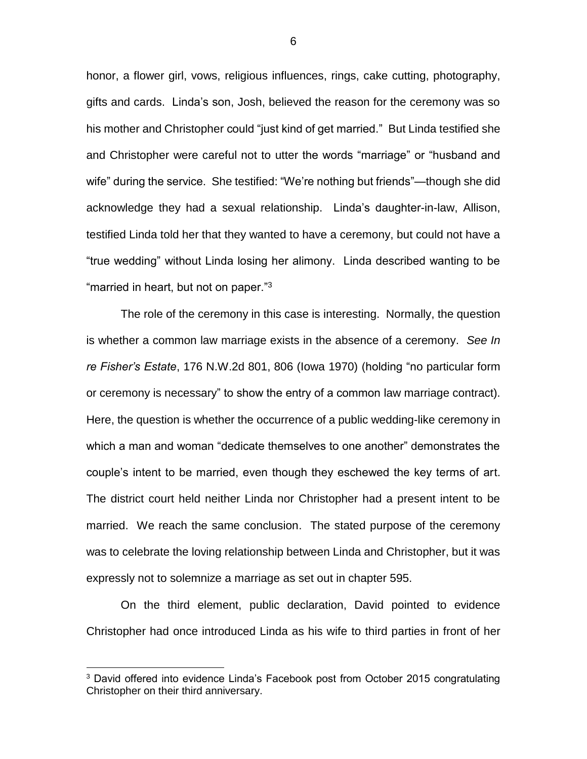honor, a flower girl, vows, religious influences, rings, cake cutting, photography, gifts and cards. Linda's son, Josh, believed the reason for the ceremony was so his mother and Christopher could "just kind of get married." But Linda testified she and Christopher were careful not to utter the words "marriage" or "husband and wife" during the service. She testified: "We're nothing but friends"—though she did acknowledge they had a sexual relationship. Linda's daughter-in-law, Allison, testified Linda told her that they wanted to have a ceremony, but could not have a "true wedding" without Linda losing her alimony. Linda described wanting to be "married in heart, but not on paper."<sup>3</sup>

The role of the ceremony in this case is interesting. Normally, the question is whether a common law marriage exists in the absence of a ceremony. *See In re Fisher's Estate*, 176 N.W.2d 801, 806 (Iowa 1970) (holding "no particular form or ceremony is necessary" to show the entry of a common law marriage contract). Here, the question is whether the occurrence of a public wedding-like ceremony in which a man and woman "dedicate themselves to one another" demonstrates the couple's intent to be married, even though they eschewed the key terms of art. The district court held neither Linda nor Christopher had a present intent to be married. We reach the same conclusion. The stated purpose of the ceremony was to celebrate the loving relationship between Linda and Christopher, but it was expressly not to solemnize a marriage as set out in chapter 595.

On the third element, public declaration, David pointed to evidence Christopher had once introduced Linda as his wife to third parties in front of her

<sup>&</sup>lt;sup>3</sup> David offered into evidence Linda's Facebook post from October 2015 congratulating Christopher on their third anniversary.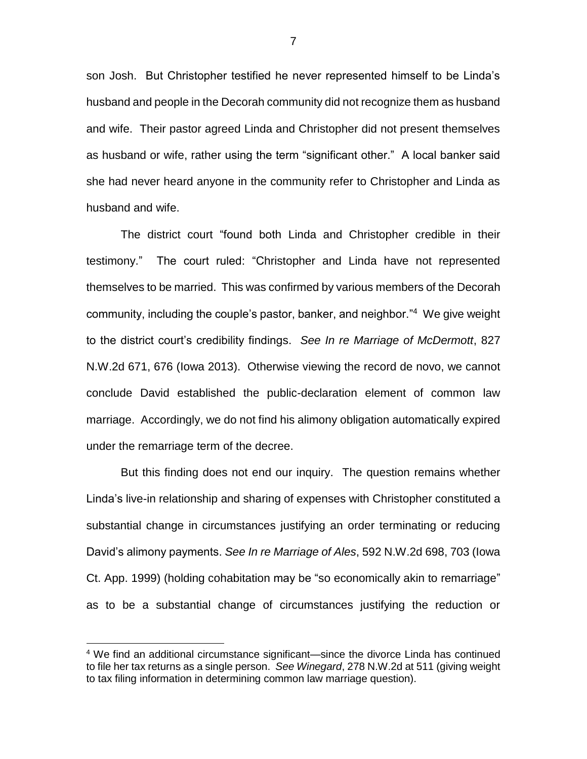son Josh. But Christopher testified he never represented himself to be Linda's husband and people in the Decorah community did not recognize them as husband and wife. Their pastor agreed Linda and Christopher did not present themselves as husband or wife, rather using the term "significant other." A local banker said she had never heard anyone in the community refer to Christopher and Linda as husband and wife.

The district court "found both Linda and Christopher credible in their testimony." The court ruled: "Christopher and Linda have not represented themselves to be married. This was confirmed by various members of the Decorah community, including the couple's pastor, banker, and neighbor." 4 We give weight to the district court's credibility findings. *See In re Marriage of McDermott*, 827 N.W.2d 671, 676 (Iowa 2013). Otherwise viewing the record de novo, we cannot conclude David established the public-declaration element of common law marriage. Accordingly, we do not find his alimony obligation automatically expired under the remarriage term of the decree.

But this finding does not end our inquiry. The question remains whether Linda's live-in relationship and sharing of expenses with Christopher constituted a substantial change in circumstances justifying an order terminating or reducing David's alimony payments. *See In re Marriage of Ales*, 592 N.W.2d 698, 703 (Iowa Ct. App. 1999) (holding cohabitation may be "so economically akin to remarriage" as to be a substantial change of circumstances justifying the reduction or

<sup>4</sup> We find an additional circumstance significant—since the divorce Linda has continued to file her tax returns as a single person. *See Winegard*, 278 N.W.2d at 511 (giving weight to tax filing information in determining common law marriage question).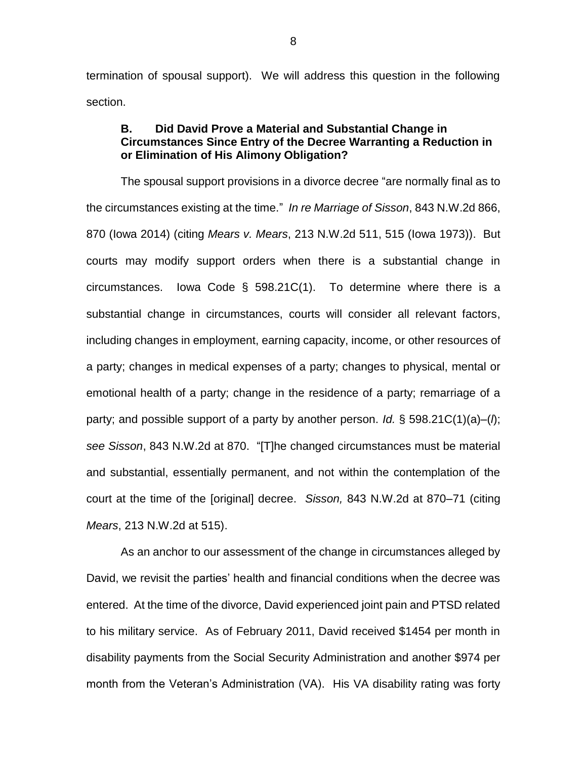termination of spousal support). We will address this question in the following section.

## **B. Did David Prove a Material and Substantial Change in Circumstances Since Entry of the Decree Warranting a Reduction in or Elimination of His Alimony Obligation?**

The spousal support provisions in a divorce decree "are normally final as to the circumstances existing at the time." *In re Marriage of Sisson*, 843 N.W.2d 866, 870 (Iowa 2014) (citing *Mears v. Mears*, 213 N.W.2d 511, 515 (Iowa 1973)). But courts may modify support orders when there is a substantial change in circumstances. Iowa Code § 598.21C(1). To determine where there is a substantial change in circumstances, courts will consider all relevant factors, including changes in employment, earning capacity, income, or other resources of a party; changes in medical expenses of a party; changes to physical, mental or emotional health of a party; change in the residence of a party; remarriage of a party; and possible support of a party by another person. *Id.* § 598.21C(1)(a)–(*l*); *see Sisson*, 843 N.W.2d at 870. "[T]he changed circumstances must be material and substantial, essentially permanent, and not within the contemplation of the court at the time of the [original] decree. *Sisson,* 843 N.W.2d at 870–71 (citing *Mears*, 213 N.W.2d at 515).

As an anchor to our assessment of the change in circumstances alleged by David, we revisit the parties' health and financial conditions when the decree was entered. At the time of the divorce, David experienced joint pain and PTSD related to his military service. As of February 2011, David received \$1454 per month in disability payments from the Social Security Administration and another \$974 per month from the Veteran's Administration (VA). His VA disability rating was forty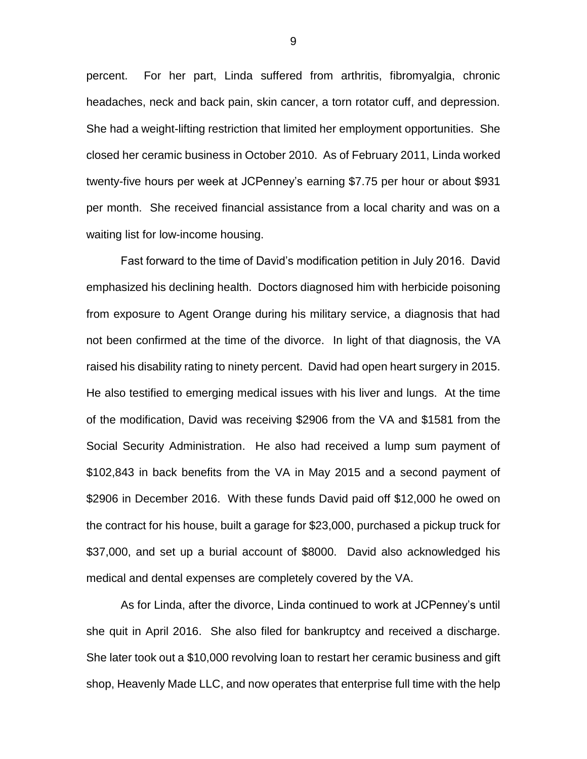percent. For her part, Linda suffered from arthritis, fibromyalgia, chronic headaches, neck and back pain, skin cancer, a torn rotator cuff, and depression. She had a weight-lifting restriction that limited her employment opportunities. She closed her ceramic business in October 2010. As of February 2011, Linda worked twenty-five hours per week at JCPenney's earning \$7.75 per hour or about \$931 per month. She received financial assistance from a local charity and was on a waiting list for low-income housing.

Fast forward to the time of David's modification petition in July 2016. David emphasized his declining health. Doctors diagnosed him with herbicide poisoning from exposure to Agent Orange during his military service, a diagnosis that had not been confirmed at the time of the divorce. In light of that diagnosis, the VA raised his disability rating to ninety percent. David had open heart surgery in 2015. He also testified to emerging medical issues with his liver and lungs. At the time of the modification, David was receiving \$2906 from the VA and \$1581 from the Social Security Administration. He also had received a lump sum payment of \$102,843 in back benefits from the VA in May 2015 and a second payment of \$2906 in December 2016. With these funds David paid off \$12,000 he owed on the contract for his house, built a garage for \$23,000, purchased a pickup truck for \$37,000, and set up a burial account of \$8000. David also acknowledged his medical and dental expenses are completely covered by the VA.

As for Linda, after the divorce, Linda continued to work at JCPenney's until she quit in April 2016. She also filed for bankruptcy and received a discharge. She later took out a \$10,000 revolving loan to restart her ceramic business and gift shop, Heavenly Made LLC, and now operates that enterprise full time with the help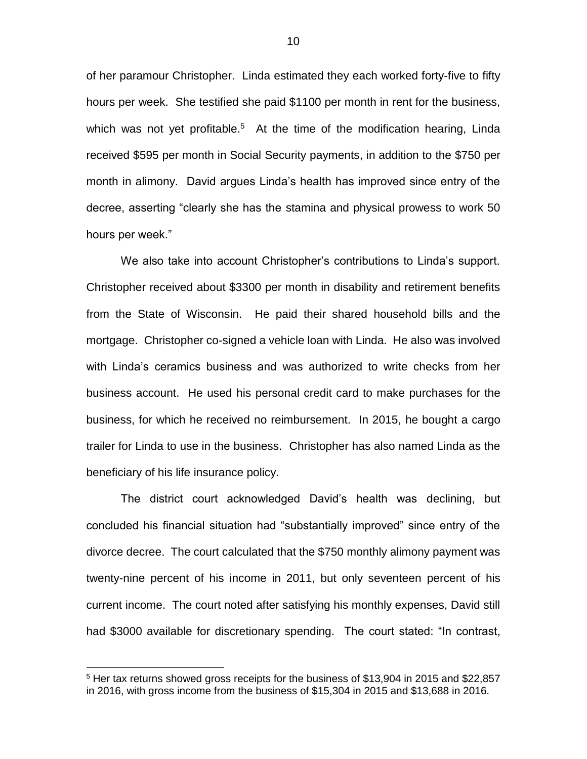of her paramour Christopher. Linda estimated they each worked forty-five to fifty hours per week. She testified she paid \$1100 per month in rent for the business, which was not yet profitable.<sup>5</sup> At the time of the modification hearing, Linda received \$595 per month in Social Security payments, in addition to the \$750 per month in alimony. David argues Linda's health has improved since entry of the decree, asserting "clearly she has the stamina and physical prowess to work 50 hours per week."

We also take into account Christopher's contributions to Linda's support. Christopher received about \$3300 per month in disability and retirement benefits from the State of Wisconsin. He paid their shared household bills and the mortgage. Christopher co-signed a vehicle loan with Linda. He also was involved with Linda's ceramics business and was authorized to write checks from her business account. He used his personal credit card to make purchases for the business, for which he received no reimbursement. In 2015, he bought a cargo trailer for Linda to use in the business. Christopher has also named Linda as the beneficiary of his life insurance policy.

The district court acknowledged David's health was declining, but concluded his financial situation had "substantially improved" since entry of the divorce decree. The court calculated that the \$750 monthly alimony payment was twenty-nine percent of his income in 2011, but only seventeen percent of his current income. The court noted after satisfying his monthly expenses, David still had \$3000 available for discretionary spending. The court stated: "In contrast,

<sup>&</sup>lt;sup>5</sup> Her tax returns showed gross receipts for the business of \$13,904 in 2015 and \$22,857 in 2016, with gross income from the business of \$15,304 in 2015 and \$13,688 in 2016.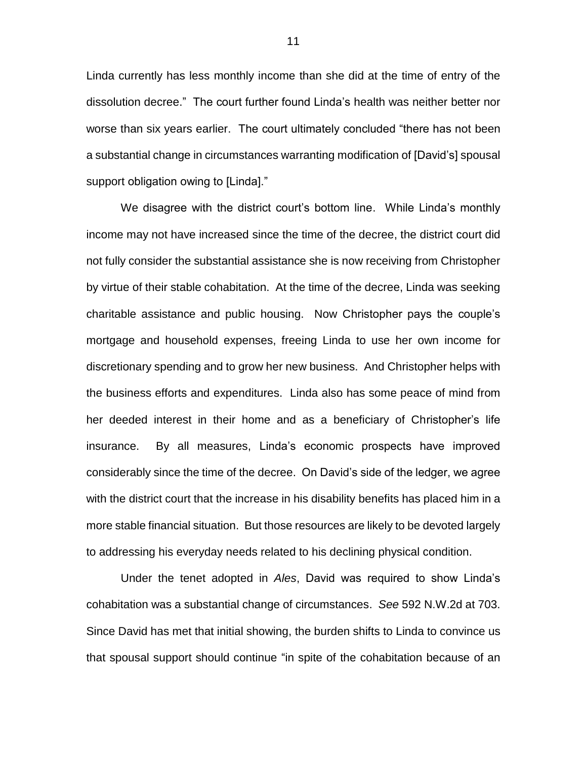Linda currently has less monthly income than she did at the time of entry of the dissolution decree." The court further found Linda's health was neither better nor worse than six years earlier. The court ultimately concluded "there has not been a substantial change in circumstances warranting modification of [David's] spousal support obligation owing to [Linda]."

We disagree with the district court's bottom line. While Linda's monthly income may not have increased since the time of the decree, the district court did not fully consider the substantial assistance she is now receiving from Christopher by virtue of their stable cohabitation. At the time of the decree, Linda was seeking charitable assistance and public housing. Now Christopher pays the couple's mortgage and household expenses, freeing Linda to use her own income for discretionary spending and to grow her new business. And Christopher helps with the business efforts and expenditures. Linda also has some peace of mind from her deeded interest in their home and as a beneficiary of Christopher's life insurance. By all measures, Linda's economic prospects have improved considerably since the time of the decree. On David's side of the ledger, we agree with the district court that the increase in his disability benefits has placed him in a more stable financial situation. But those resources are likely to be devoted largely to addressing his everyday needs related to his declining physical condition.

Under the tenet adopted in *Ales*, David was required to show Linda's cohabitation was a substantial change of circumstances. *See* 592 N.W.2d at 703. Since David has met that initial showing, the burden shifts to Linda to convince us that spousal support should continue "in spite of the cohabitation because of an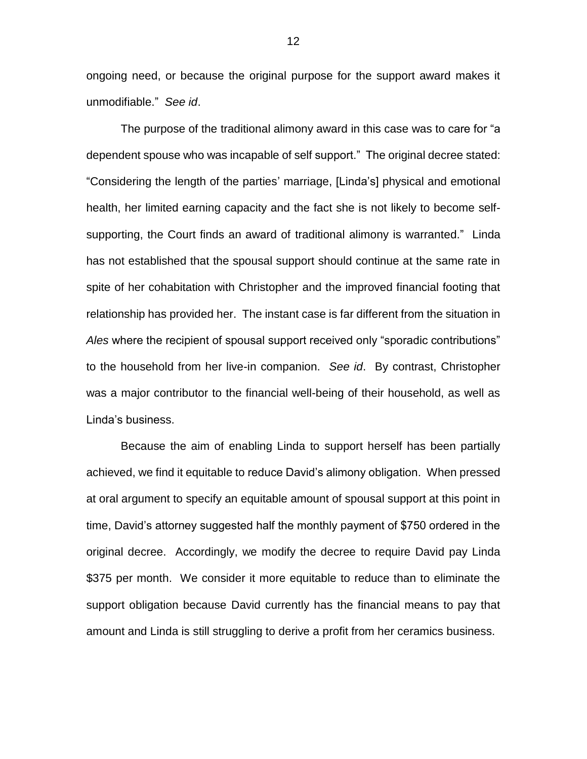ongoing need, or because the original purpose for the support award makes it unmodifiable." *See id*.

The purpose of the traditional alimony award in this case was to care for "a dependent spouse who was incapable of self support." The original decree stated: "Considering the length of the parties' marriage, [Linda's] physical and emotional health, her limited earning capacity and the fact she is not likely to become selfsupporting, the Court finds an award of traditional alimony is warranted." Linda has not established that the spousal support should continue at the same rate in spite of her cohabitation with Christopher and the improved financial footing that relationship has provided her. The instant case is far different from the situation in *Ales* where the recipient of spousal support received only "sporadic contributions" to the household from her live-in companion. *See id*. By contrast, Christopher was a major contributor to the financial well-being of their household, as well as Linda's business.

Because the aim of enabling Linda to support herself has been partially achieved, we find it equitable to reduce David's alimony obligation. When pressed at oral argument to specify an equitable amount of spousal support at this point in time, David's attorney suggested half the monthly payment of \$750 ordered in the original decree. Accordingly, we modify the decree to require David pay Linda \$375 per month. We consider it more equitable to reduce than to eliminate the support obligation because David currently has the financial means to pay that amount and Linda is still struggling to derive a profit from her ceramics business.